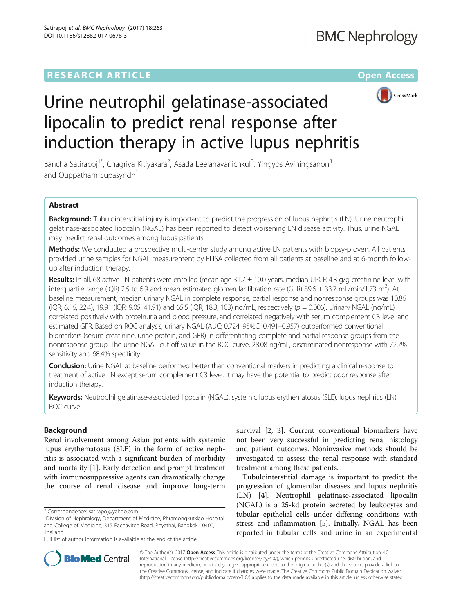# **RESEARCH ARTICLE Example 2014 12:30 The Contract of Contract ACCESS**



# Urine neutrophil gelatinase-associated lipocalin to predict renal response after induction therapy in active lupus nephritis

Bancha Satirapoj<sup>1\*</sup>, Chagriya Kitiyakara<sup>2</sup>, Asada Leelahavanichkul<sup>3</sup>, Yingyos Avihingsanon<sup>3</sup> and Ouppatham Supasyndh<sup>1</sup>

# Abstract

Background: Tubulointerstitial injury is important to predict the progression of lupus nephritis (LN). Urine neutrophil gelatinase-associated lipocalin (NGAL) has been reported to detect worsening LN disease activity. Thus, urine NGAL may predict renal outcomes among lupus patients.

Methods: We conducted a prospective multi-center study among active LN patients with biopsy-proven. All patients provided urine samples for NGAL measurement by ELISA collected from all patients at baseline and at 6-month followup after induction therapy.

Results: In all, 68 active LN patients were enrolled (mean age 31.7  $\pm$  10.0 years, median UPCR 4.8 g/g creatinine level with interquartile range (IQR) 2.5 to 6.9 and mean estimated glomerular filtration rate (GFR) 89.6  $\pm$  33.7 mL/min/1.73 m<sup>2</sup>). At baseline measurement, median urinary NGAL in complete response, partial response and nonresponse groups was 10.86 (IQR; 6.16, 22.4), 19.91 (IQR; 9.05, 41.91) and 65.5 (IQR; 18.3, 103) ng/mL, respectively (p = 0.006). Urinary NGAL (ng/mL) correlated positively with proteinuria and blood pressure, and correlated negatively with serum complement C3 level and estimated GFR. Based on ROC analysis, urinary NGAL (AUC; 0.724, 95%CI 0.491–0.957) outperformed conventional biomarkers (serum creatinine, urine protein, and GFR) in differentiating complete and partial response groups from the nonresponse group. The urine NGAL cut-off value in the ROC curve, 28.08 ng/mL, discriminated nonresponse with 72.7% sensitivity and 68.4% specificity.

**Conclusion:** Urine NGAL at baseline performed better than conventional markers in predicting a clinical response to treatment of active LN except serum complement C3 level. It may have the potential to predict poor response after induction therapy.

Keywords: Neutrophil gelatinase-associated lipocalin (NGAL), systemic lupus erythematosus (SLE), lupus nephritis (LN), ROC curve

# Background

Renal involvement among Asian patients with systemic lupus erythematosus (SLE) in the form of active nephritis is associated with a significant burden of morbidity and mortality [[1\]](#page-7-0). Early detection and prompt treatment with immunosuppressive agents can dramatically change the course of renal disease and improve long-term

Full list of author information is available at the end of the article

survival [[2, 3](#page-7-0)]. Current conventional biomarkers have not been very successful in predicting renal histology and patient outcomes. Noninvasive methods should be investigated to assess the renal response with standard treatment among these patients.

Tubulointerstitial damage is important to predict the progression of glomerular diseases and lupus nephritis (LN) [\[4](#page-7-0)]. Neutrophil gelatinase-associated lipocalin (NGAL) is a 25-kd protein secreted by leukocytes and tubular epithelial cells under differing conditions with stress and inflammation [\[5](#page-7-0)]. Initially, NGAL has been reported in tubular cells and urine in an experimental



© The Author(s). 2017 **Open Access** This article is distributed under the terms of the Creative Commons Attribution 4.0 International License [\(http://creativecommons.org/licenses/by/4.0/](http://creativecommons.org/licenses/by/4.0/)), which permits unrestricted use, distribution, and reproduction in any medium, provided you give appropriate credit to the original author(s) and the source, provide a link to the Creative Commons license, and indicate if changes were made. The Creative Commons Public Domain Dedication waiver [\(http://creativecommons.org/publicdomain/zero/1.0/](http://creativecommons.org/publicdomain/zero/1.0/)) applies to the data made available in this article, unless otherwise stated.

<sup>\*</sup> Correspondence: [satirapoj@yahoo.com](mailto:satirapoj@yahoo.com) <sup>1</sup>

<sup>&</sup>lt;sup>1</sup> Division of Nephrology, Department of Medicine, Phramongkutklao Hospital and College of Medicine, 315 Rachavitee Road, Phyathai, Bangkok 10400, Thailand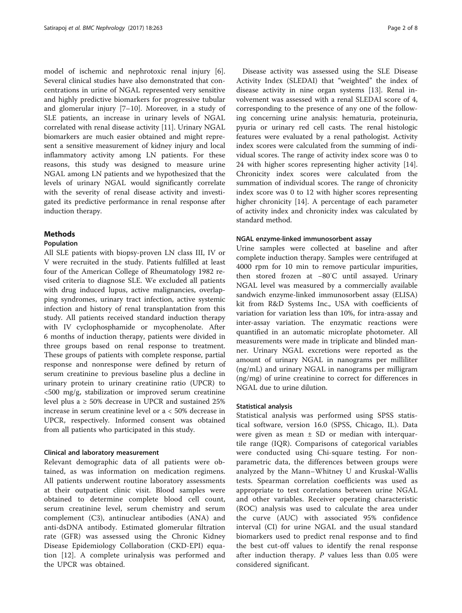model of ischemic and nephrotoxic renal injury [\[6](#page-7-0)]. Several clinical studies have also demonstrated that concentrations in urine of NGAL represented very sensitive and highly predictive biomarkers for progressive tubular and glomerular injury [\[7](#page-7-0)–[10](#page-7-0)]. Moreover, in a study of SLE patients, an increase in urinary levels of NGAL correlated with renal disease activity [\[11](#page-7-0)]. Urinary NGAL biomarkers are much easier obtained and might represent a sensitive measurement of kidney injury and local inflammatory activity among LN patients. For these reasons, this study was designed to measure urine NGAL among LN patients and we hypothesized that the levels of urinary NGAL would significantly correlate with the severity of renal disease activity and investigated its predictive performance in renal response after induction therapy.

# Methods

# Population

All SLE patients with biopsy-proven LN class III, IV or V were recruited in the study. Patients fulfilled at least four of the American College of Rheumatology 1982 revised criteria to diagnose SLE. We excluded all patients with drug induced lupus, active malignancies, overlapping syndromes, urinary tract infection, active systemic infection and history of renal transplantation from this study. All patients received standard induction therapy with IV cyclophosphamide or mycophenolate. After 6 months of induction therapy, patients were divided in three groups based on renal response to treatment. These groups of patients with complete response, partial response and nonresponse were defined by return of serum creatinine to previous baseline plus a decline in urinary protein to urinary creatinine ratio (UPCR) to <500 mg/g, stabilization or improved serum creatinine level plus a  $\geq$  50% decrease in UPCR and sustained 25% increase in serum creatinine level or a < 50% decrease in UPCR, respectively. Informed consent was obtained from all patients who participated in this study.

#### Clinical and laboratory measurement

Relevant demographic data of all patients were obtained, as was information on medication regimens. All patients underwent routine laboratory assessments at their outpatient clinic visit. Blood samples were obtained to determine complete blood cell count, serum creatinine level, serum chemistry and serum complement (C3), antinuclear antibodies (ANA) and anti-dsDNA antibody. Estimated glomerular filtration rate (GFR) was assessed using the Chronic Kidney Disease Epidemiology Collaboration (CKD-EPI) equation [\[12](#page-7-0)]. A complete urinalysis was performed and the UPCR was obtained.

Disease activity was assessed using the SLE Disease Activity Index (SLEDAI) that "weighted" the index of disease activity in nine organ systems [\[13](#page-7-0)]. Renal involvement was assessed with a renal SLEDAI score of 4, corresponding to the presence of any one of the following concerning urine analysis: hematuria, proteinuria, pyuria or urinary red cell casts. The renal histologic features were evaluated by a renal pathologist. Activity index scores were calculated from the summing of individual scores. The range of activity index score was 0 to 24 with higher scores representing higher activity [\[14](#page-7-0)]. Chronicity index scores were calculated from the summation of individual scores. The range of chronicity index score was 0 to 12 with higher scores representing higher chronicity [\[14](#page-7-0)]. A percentage of each parameter of activity index and chronicity index was calculated by standard method.

#### NGAL enzyme-linked immunosorbent assay

Urine samples were collected at baseline and after complete induction therapy. Samples were centrifuged at 4000 rpm for 10 min to remove particular impurities, then stored frozen at −80<sup>∘</sup> C until assayed. Urinary NGAL level was measured by a commercially available sandwich enzyme-linked immunosorbent assay (ELISA) kit from R&D Systems Inc., USA with coefficients of variation for variation less than 10%, for intra-assay and inter-assay variation. The enzymatic reactions were quantified in an automatic microplate photometer. All measurements were made in triplicate and blinded manner. Urinary NGAL excretions were reported as the amount of urinary NGAL in nanograms per milliliter (ng/mL) and urinary NGAL in nanograms per milligram (ng/mg) of urine creatinine to correct for differences in NGAL due to urine dilution.

#### Statistical analysis

Statistical analysis was performed using SPSS statistical software, version 16.0 (SPSS, Chicago, IL). Data were given as mean  $\pm$  SD or median with interquartile range (IQR). Comparisons of categorical variables were conducted using Chi-square testing. For nonparametric data, the differences between groups were analyzed by the Mann–Whitney U and Kruskal-Wallis tests. Spearman correlation coefficients was used as appropriate to test correlations between urine NGAL and other variables. Receiver operating characteristic (ROC) analysis was used to calculate the area under the curve (AUC) with associated 95% confidence interval (CI) for urine NGAL and the usual standard biomarkers used to predict renal response and to find the best cut-off values to identify the renal response after induction therapy.  $P$  values less than 0.05 were considered significant.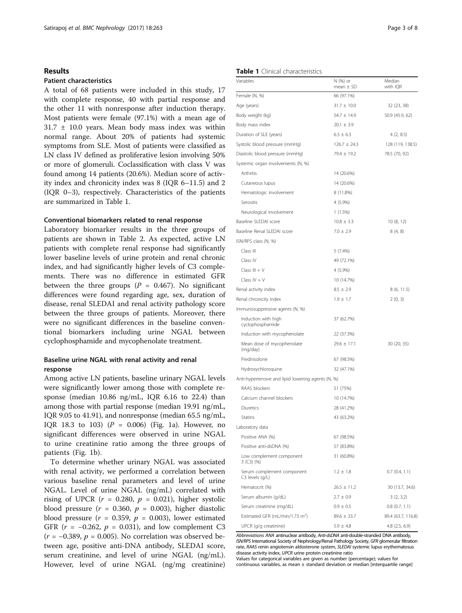#### Results

# Patient characteristics

A total of 68 patients were included in this study, 17 with complete response, 40 with partial response and the other 11 with nonresponse after induction therapy. Most patients were female (97.1%) with a mean age of 31.7 ± 10.0 years. Mean body mass index was within normal range. About 20% of patients had systemic symptoms from SLE. Most of patients were classified as LN class IV defined as proliferative lesion involving 50% or more of glomeruli. Coclassification with class V was found among 14 patients (20.6%). Median score of activity index and chronicity index was 8 (IQR 6–11.5) and 2 (IQR 0–3), respectively. Characteristics of the patients are summarized in Table 1.

#### Conventional biomarkers related to renal response

Laboratory biomarker results in the three groups of patients are shown in Table [2](#page-3-0). As expected, active LN patients with complete renal response had significantly lower baseline levels of urine protein and renal chronic index, and had significantly higher levels of C3 complements. There was no difference in estimated GFR between the three groups ( $P = 0.467$ ). No significant differences were found regarding age, sex, duration of disease, renal SLEDAI and renal activity pathology score between the three groups of patients. Moreover, there were no significant differences in the baseline conventional biomarkers including urine NGAL between cyclophosphamide and mycophenolate treatment.

# Baseline urine NGAL with renal activity and renal response

Among active LN patients, baseline urinary NGAL levels were significantly lower among those with complete response (median 10.86 ng/mL, IQR 6.16 to 22.4) than among those with partial response (median 19.91 ng/mL, IQR 9.05 to 41.91), and nonresponse (median 65.5 ng/mL, IQR 18.3 to 103)  $(P = 0.006)$  (Fig. [1a](#page-3-0)). However, no significant differences were observed in urine NGAL to urine creatinine ratio among the three groups of patients (Fig. [1b\)](#page-3-0).

To determine whether urinary NGAL was associated with renal activity, we performed a correlation between various baseline renal parameters and level of urine NGAL. Level of urine NGAL (ng/mL) correlated with rising of UPCR ( $r = 0.280$ ,  $p = 0.021$ ), higher systolic blood pressure ( $r = 0.360$ ,  $p = 0.003$ ), higher diastolic blood pressure ( $r = 0.359$ ,  $p = 0.003$ ), lower estimated GFR ( $r = -0.262$ ,  $p = 0.031$ ), and low complement C3  $(r = -0.389, p = 0.005)$ . No correlation was observed between age, positive anti-DNA antibody, SLEDAI score, serum creatinine, and level of urine NGAL (ng/mL). However, level of urine NGAL (ng/mg creatinine)

#### Table 1 Clinical characteristics

| Variables                                          | N (%) or<br>$mean \pm SD$ | Median<br>with IQR |
|----------------------------------------------------|---------------------------|--------------------|
| Female (N, %)                                      | 66 (97.1%)                |                    |
| Age (years)                                        | $31.7 \pm 10.0$           | 32 (23, 38)        |
| Body weight (kg)                                   | $54.7 \pm 14.9$           | 50.9 (45.9, 62)    |
| Body mass index                                    | $20.1 \pm 3.9$            |                    |
| Duration of SLE (years)                            | $6.3 \pm 6.3$             | 4(2, 8.5)          |
| Systolic blood pressure (mmHg)                     | $126.7 \pm 24.3$          | 128 (119, 138.5)   |
| Diastolic blood pressure (mmHg)                    | 79.4 ± 19.2               | 78.5 (70, 92)      |
| Systemic organ involvements (N, %)                 |                           |                    |
| Arthritis                                          | 14 (20.6%)                |                    |
| Cutaneous lupus                                    | 14 (20.6%)                |                    |
| Hematologic involvement                            | 8 (11.8%)                 |                    |
| Serositis                                          | 4 (5.9%)                  |                    |
| Neurological involvement                           | 1(1.5%)                   |                    |
| Baseline SLEDAI score                              | $10.8 \pm 3.3$            | 10 (8, 12)         |
| Baseline Renal SLEDAI score                        | $7.0 \pm 2.9$             | 8(4, 8)            |
| ISN/RPS class (N, %)                               |                           |                    |
| Class III                                          | 5 (7.4%)                  |                    |
| Class IV                                           | 49 (72.1%)                |                    |
| $Class III + V$                                    | 4 (5.9%)                  |                    |
| Class $IV + V$                                     | 10 (14.7%)                |                    |
| Renal activity index                               | $8.5 \pm 2.9$             | 8 (6, 11.5)        |
| Renal chronicity index                             | $1.9 \pm 1.7$             | 2(0, 3)            |
| Immunosuppressive agents (N, %)                    |                           |                    |
| Induction with high<br>cyclophosphamide            | 37 (62.7%)                |                    |
| Induction with mycophenolate                       | 22 (37.3%)                |                    |
| Mean dose of mycophenolate<br>(mg/day)             | $29.6 \pm 17.1$           | 30 (20, 35)        |
| Prednisolone                                       | 67 (98.5%)                |                    |
| Hydroxychloroquine                                 | 32 (47.1%)                |                    |
| Anti-hypertensive and lipid lowering agents (N, %) |                           |                    |
| RAAS blockers                                      | 51 (75%)                  |                    |
| Calcium channel blockers                           | 10 (14.7%)                |                    |
| Diuretics                                          | 28 (41.2%)                |                    |
| Statins                                            | 43 (63.2%)                |                    |
| Laboratory data                                    |                           |                    |
| Positive ANA (%)                                   | 67 (98.5%)                |                    |
| Positive anti-dsDNA (%)                            | 57 (83.8%)                |                    |
| Low complement component<br>3 (C3) (%)             | 31 (60.8%)                |                    |
| Serum complement component<br>C3 levels (g/L)      | $1.2 \pm 1.8$             | 0.7(0.4, 1.1)      |
| Hematocrit (%)                                     | $26.5 \pm 11.2$           | 30 (13.7, 34.6)    |
| Serum albumin (g/dL)                               | $2.7 + 0.9$               | 3(2, 3.2)          |
| Serum creatinine (mg/dL)                           | $0.9 \pm 0.5$             | $0.8$ $(0.7, 1.1)$ |
| Estimated GFR (mL/min/1.73 m <sup>2</sup> )        | $89.6 \pm 33.7$           | 89.4 (63.7, 116.8) |
| UPCR (g/g creatinine)                              | $5.9 \pm 4.8$             | $4.8$ $(2.5, 6.9)$ |

Abbreviations ANA antinuclear antibody, Anti-dsDNA anti-double-stranded DNA antibody, ISN/RPS International Society of Nephrology/Renal Pathology Society, GFR glomerular filtration rate, RAAS renin angiotensin aldosterone system, SLEDAI systemic lupus erythematosus disease activity index, UPCR urine protein creatinine ratio

Values for categorical variables are given as number (percentage); values for continuous variables, as mean  $\pm$  standard deviation or median [interquartile range]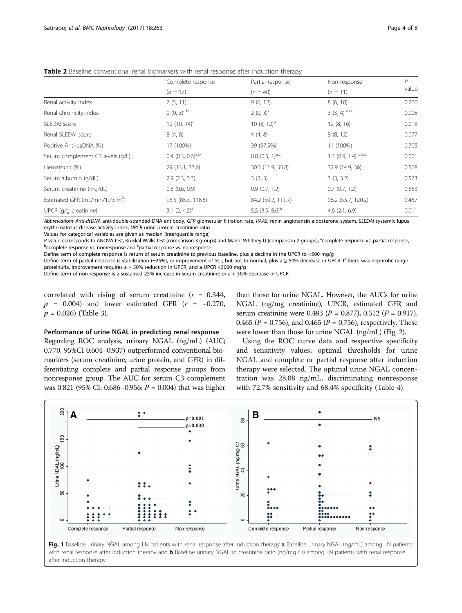|                                             | Complete response        | Partial response              | Non-response           | P     |
|---------------------------------------------|--------------------------|-------------------------------|------------------------|-------|
|                                             | $(n = 17)$               | $(n = 40)$                    | $(n = 11)$             | value |
| Renal activity index                        | 7(5, 11)                 | 9(6, 12)                      | 8(6, 10)               | 0.760 |
| Renal chronicity index                      | $(0, 3)^{a,b}$           | $2(0, 3)^{c}$                 | 3 $(3, 4)^{a,b,c}$     | 0.008 |
| SLEDAI score                                | 12 (10, 14) <sup>a</sup> | 10 $(8, 12)^a$                | 12(8, 16)              | 0.018 |
| Renal SLEDAI score                          | 8(4, 8)                  | 4(4, 8)                       | 8(8, 12)               | 0.077 |
| Positive Anti-dsDNA (%)                     | 17 (100%)                | 39 (97.5%)                    | 11 (100%)              | 0.705 |
| Serum complement C3 levels (g/L)            | 0.4 $(0.3, 0.6)^{a,b}$   | $0.8$ (0.5, 1) <sup>a,c</sup> | 1.3 (0.9, 1.4) $a,b,c$ | 0.001 |
| Hematocrit (%)                              | 29 (13.1, 33.6)          | 30.3 (11.9, 35.8)             | 32.9 (14.9, 36)        | 0.568 |
| Serum albumin (g/dL)                        | 2.9(2.3, 3.3)            | 3(2, 3)                       | 3(3, 3.2)              | 0.573 |
| Serum creatinine (mg/dL)                    | 0.8(0.6, 0.9)            | 0.9(0.7, 1.2)                 | 0.7(0.7, 1.2)          | 0.553 |
| Estimated GFR (mL/min/1.73 m <sup>2</sup> ) | 98.5 (85.3, 118.5)       | 84.2 (59.2, 111.7)            | 96.2 (53.7, 120.2)     | 0.467 |
| UPCR (g/g creatinine)                       | 3.1 $(2, 4.5)^a$         | 5.5 $(3.9, 8.6)^a$            | 4.6(2.1, 6.9)          | 0.011 |

<span id="page-3-0"></span>Table 2 Baseline conventional renal biomarkers with renal response after induction therapy

Abbreviations Anti-dsDNA anti-double-stranded DNA antibody, GFR glomerular filtration rate, RAAS; renin angiotensin aldosterone system, SLEDAI systemic lupus erythematosus disease activity index, UPCR urine protein creatinine ratio

Values for categorical variables are given as median [interquartile range]

P-value corresponds to ANOVA test, Kruskal-Wallis test (comparison 3 groups) and Mann–Whitney U (comparison 2 groups), <sup>a</sup>complete response vs. partial response,<br>Promplete response vs. popresponse and <sup>s</sup>partial response v complete response vs. nonresponse and <sup>c</sup>partial response vs. nonresponse

Define term of complete response is return of serum creatinine to previous baseline, plus a decline in the UPCR to <500 mg/g

Define term of partial response is stabilization (±25%), or improvement of SCr, but not to normal, plus a ≥ 50% decrease in UPCR. If there was nephrotic-range proteinuria, improvement requires a  $\geq$  50% reduction in UPCR, and a UPCR <3000 mg/g

Define term of non-response is a sustained 25% increase in serum creatinine or a < 50% decrease in UPCR

correlated with rising of serum creatinine  $(r = 0.344,$  $p = 0.004$ ) and lower estimated GFR ( $r = -0.270$ ,  $p = 0.026$ ) (Table [3\)](#page-4-0).

# Performance of urine NGAL in predicting renal response

Regarding ROC analysis, urinary NGAL (ng/mL) (AUC; 0.770, 95%CI 0.604–0.937) outperformed conventional biomarkers (serum creatinine, urine protein, and GFR) in differentiating complete and partial response groups from nonresponse group. The AUC for serum C3 complement was 0.821 (95% CI: 0.686–0.956:  $P = 0.004$ ) that was higher

than those for urine NGAL. However, the AUCs for urine NGAL (ng/mg creatinine), UPCR, estimated GFR and serum creatinine were 0.483 ( $P = 0.877$ ), 0.512 ( $P = 0.917$ ), 0.465 ( $P = 0.756$ ), and 0.465 ( $P = 0.756$ ), respectively. These were lower than those for urine NGAL (ng/mL) (Fig. [2\)](#page-4-0).

Using the ROC curve data and respective specificity and sensitivity values, optimal thresholds for urine NGAL and complete or partial response after induction therapy were selected. The optimal urine NGAL concentration was 28.08 ng/mL, discriminating nonresponse with 72.7% sensitivity and 68.4% specificity (Table [4\)](#page-5-0).



Fig. 1 Baseline urinary NGAL among LN patients with renal response after induction therapy a Baseline urinary NGAL (ng/mL) among LN patients with renal response after induction therapy and **b** Baseline urinary NGAL to creatinine ratio (ng/mg Cr) among LN patients with renal response after induction therapy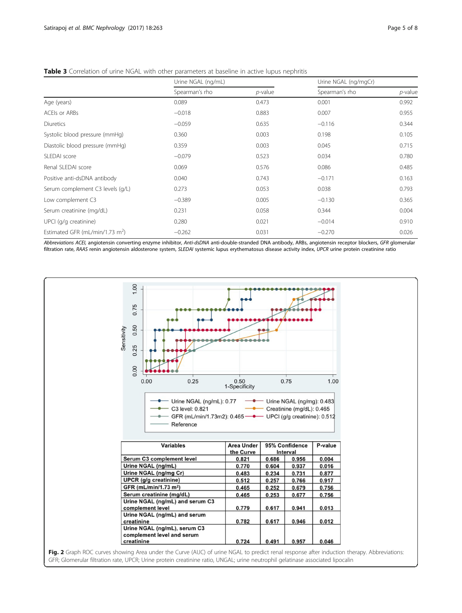<span id="page-4-0"></span>

| Table 3 Correlation of urine NGAL with other parameters at baseline in active lupus nephritis |  |  |
|-----------------------------------------------------------------------------------------------|--|--|
|-----------------------------------------------------------------------------------------------|--|--|

|                                             | Urine NGAL (ng/mL) |            | Urine NGAL (ng/mgCr) |            |
|---------------------------------------------|--------------------|------------|----------------------|------------|
|                                             | Spearman's rho     | $p$ -value | Spearman's rho       | $p$ -value |
| Age (years)                                 | 0.089              | 0.473      | 0.001                | 0.992      |
| ACEIs or ARBs                               | $-0.018$           | 0.883      | 0.007                | 0.955      |
| Diuretics                                   | $-0.059$           | 0.635      | $-0.116$             | 0.344      |
| Systolic blood pressure (mmHq)              | 0.360              | 0.003      | 0.198                | 0.105      |
| Diastolic blood pressure (mmHg)             | 0.359              | 0.003      | 0.045                | 0.715      |
| SLEDAI score                                | $-0.079$           | 0.523      | 0.034                | 0.780      |
| Renal SLEDAI score                          | 0.069              | 0.576      | 0.086                | 0.485      |
| Positive anti-dsDNA antibody                | 0.040              | 0.743      | $-0.171$             | 0.163      |
| Serum complement C3 levels (g/L)            | 0.273              | 0.053      | 0.038                | 0.793      |
| Low complement C3                           | $-0.389$           | 0.005      | $-0.130$             | 0.365      |
| Serum creatinine (mg/dL)                    | 0.231              | 0.058      | 0.344                | 0.004      |
| UPCI (g/g creatinine)                       | 0.280              | 0.021      | $-0.014$             | 0.910      |
| Estimated GFR (mL/min/1.73 m <sup>2</sup> ) | $-0.262$           | 0.031      | $-0.270$             | 0.026      |

Abbreviations ACEI, angiotensin converting enzyme inhibitor, Anti-dsDNA anti-double-stranded DNA antibody, ARBs, angiotensin receptor blockers, GFR glomerular filtration rate, RAAS renin angiotensin aldosterone system, SLEDAI systemic lupus erythematosus disease activity index, UPCR urine protein creatinine ratio

| 0.25<br>0.50<br>0.00<br>0.75<br>1.00<br>1-Specificity<br>Urine NGAL (ng/mL): 0.77<br>Urine NGAL (ng/mg): 0.483<br>C3 level: 0.821<br>Creatinine (mg/dL): 0.465<br>GFR (mL/min/1.73m2): 0.465 - UPCI (g/g creatinine): 0.512<br>Reference<br><b>Variables</b><br><b>Area Under</b><br>95% Confidence<br>P-value<br>the Curve<br>Interval<br>Serum C3 complement level<br>0.004<br>0.821<br>0.686<br>0.956<br>Urine NGAL (ng/mL)<br>0.770<br>0.604<br>0.937<br>0.016<br>Urine NGAL (ng/mg Cr)<br>0.483<br>0.234<br>0.731<br>0.877<br><b>UPCR</b> (g/g creatinine)<br>0.512<br>0.257<br>0.766<br>0.917<br>GFR (mL/min/1.73 m <sup>2</sup> )<br>0.465<br>0.252<br>0.679<br>0.756<br>Serum creatinine (mg/dL)<br>0.756<br>0.465<br>0.253<br>0.677<br>Urine NGAL (ng/mL) and serum C3<br>0.779<br>0.941<br>complement level<br>0.617<br>0.013<br>Urine NGAL (ng/mL) and serum<br>0.782<br>0.946<br>creatinine<br>0.617<br>0.012<br>Urine NGAL (ng/mL), serum C3<br>complement level and serum<br>creatinine<br>0.724<br>0.957<br>0.491<br>0.046 | 1.00<br>0.75<br>0.50<br>Sensitivity<br>0.25<br>0.00 |  |  |  |
|-------------------------------------------------------------------------------------------------------------------------------------------------------------------------------------------------------------------------------------------------------------------------------------------------------------------------------------------------------------------------------------------------------------------------------------------------------------------------------------------------------------------------------------------------------------------------------------------------------------------------------------------------------------------------------------------------------------------------------------------------------------------------------------------------------------------------------------------------------------------------------------------------------------------------------------------------------------------------------------------------------------------------------------------|-----------------------------------------------------|--|--|--|
|                                                                                                                                                                                                                                                                                                                                                                                                                                                                                                                                                                                                                                                                                                                                                                                                                                                                                                                                                                                                                                           |                                                     |  |  |  |
|                                                                                                                                                                                                                                                                                                                                                                                                                                                                                                                                                                                                                                                                                                                                                                                                                                                                                                                                                                                                                                           |                                                     |  |  |  |
|                                                                                                                                                                                                                                                                                                                                                                                                                                                                                                                                                                                                                                                                                                                                                                                                                                                                                                                                                                                                                                           |                                                     |  |  |  |
|                                                                                                                                                                                                                                                                                                                                                                                                                                                                                                                                                                                                                                                                                                                                                                                                                                                                                                                                                                                                                                           |                                                     |  |  |  |
|                                                                                                                                                                                                                                                                                                                                                                                                                                                                                                                                                                                                                                                                                                                                                                                                                                                                                                                                                                                                                                           |                                                     |  |  |  |
|                                                                                                                                                                                                                                                                                                                                                                                                                                                                                                                                                                                                                                                                                                                                                                                                                                                                                                                                                                                                                                           |                                                     |  |  |  |
|                                                                                                                                                                                                                                                                                                                                                                                                                                                                                                                                                                                                                                                                                                                                                                                                                                                                                                                                                                                                                                           |                                                     |  |  |  |
|                                                                                                                                                                                                                                                                                                                                                                                                                                                                                                                                                                                                                                                                                                                                                                                                                                                                                                                                                                                                                                           |                                                     |  |  |  |
|                                                                                                                                                                                                                                                                                                                                                                                                                                                                                                                                                                                                                                                                                                                                                                                                                                                                                                                                                                                                                                           |                                                     |  |  |  |
|                                                                                                                                                                                                                                                                                                                                                                                                                                                                                                                                                                                                                                                                                                                                                                                                                                                                                                                                                                                                                                           |                                                     |  |  |  |
|                                                                                                                                                                                                                                                                                                                                                                                                                                                                                                                                                                                                                                                                                                                                                                                                                                                                                                                                                                                                                                           |                                                     |  |  |  |
|                                                                                                                                                                                                                                                                                                                                                                                                                                                                                                                                                                                                                                                                                                                                                                                                                                                                                                                                                                                                                                           |                                                     |  |  |  |
|                                                                                                                                                                                                                                                                                                                                                                                                                                                                                                                                                                                                                                                                                                                                                                                                                                                                                                                                                                                                                                           |                                                     |  |  |  |

GFR; Glomerular filtration rate, UPCR; Urine protein creatinine ratio, UNGAL; urine neutrophil gelatinase associated lipocalin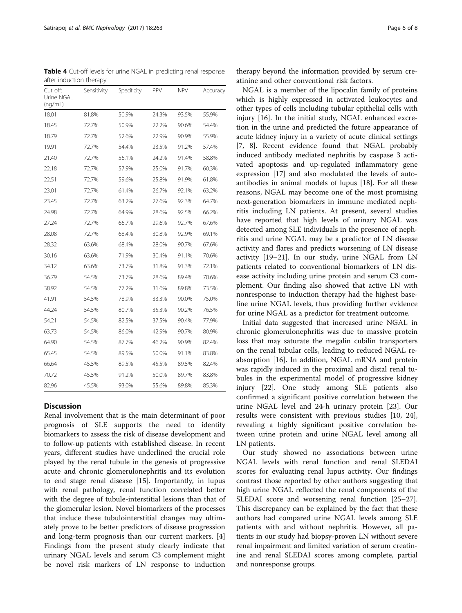<span id="page-5-0"></span>Table 4 Cut-off levels for urine NGAL in predicting renal response after induction therapy

| Cut off:<br>Urine NGAL<br>(ng/mL) | Sensitivity | Specificity | PPV   | <b>NPV</b> | Accuracy |
|-----------------------------------|-------------|-------------|-------|------------|----------|
| 18.01                             | 81.8%       | 50.9%       | 24.3% | 93.5%      | 55.9%    |
| 18.45                             | 72.7%       | 50.9%       | 22.2% | 90.6%      | 54.4%    |
| 18.79                             | 72.7%       | 52.6%       | 22.9% | 90.9%      | 55.9%    |
| 19.91                             | 72.7%       | 54.4%       | 23.5% | 91.2%      | 57.4%    |
| 21.40                             | 72.7%       | 56.1%       | 24.2% | 91.4%      | 58.8%    |
| 22.18                             | 72.7%       | 57.9%       | 25.0% | 91.7%      | 60.3%    |
| 22.51                             | 72.7%       | 59.6%       | 25.8% | 91.9%      | 61.8%    |
| 23.01                             | 72.7%       | 61.4%       | 26.7% | 92.1%      | 63.2%    |
| 23.45                             | 72.7%       | 63.2%       | 27.6% | 92.3%      | 64.7%    |
| 24.98                             | 72.7%       | 64.9%       | 28.6% | 92.5%      | 66.2%    |
| 27.24                             | 72.7%       | 66.7%       | 29.6% | 92.7%      | 67.6%    |
| 28.08                             | 72.7%       | 68.4%       | 30.8% | 92.9%      | 69.1%    |
| 28.32                             | 63.6%       | 68.4%       | 28.0% | 90.7%      | 67.6%    |
| 30.16                             | 63.6%       | 71.9%       | 30.4% | 91.1%      | 70.6%    |
| 34.12                             | 63.6%       | 73.7%       | 31.8% | 91.3%      | 72.1%    |
| 36.79                             | 54.5%       | 73.7%       | 28.6% | 89.4%      | 70.6%    |
| 38.92                             | 54.5%       | 77.2%       | 31.6% | 89.8%      | 73.5%    |
| 41.91                             | 54.5%       | 78.9%       | 33.3% | 90.0%      | 75.0%    |
| 44.24                             | 54.5%       | 80.7%       | 35.3% | 90.2%      | 76.5%    |
| 54.21                             | 54.5%       | 82.5%       | 37.5% | 90.4%      | 77.9%    |
| 63.73                             | 54.5%       | 86.0%       | 42.9% | 90.7%      | 80.9%    |
| 64.90                             | 54.5%       | 87.7%       | 46.2% | 90.9%      | 82.4%    |
| 65.45                             | 54.5%       | 89.5%       | 50.0% | 91.1%      | 83.8%    |
| 66.64                             | 45.5%       | 89.5%       | 45.5% | 89.5%      | 82.4%    |
| 70.72                             | 45.5%       | 91.2%       | 50.0% | 89.7%      | 83.8%    |
| 82.96                             | 45.5%       | 93.0%       | 55.6% | 89.8%      | 85.3%    |

# **Discussion**

Renal involvement that is the main determinant of poor prognosis of SLE supports the need to identify biomarkers to assess the risk of disease development and to follow-up patients with established disease. In recent years, different studies have underlined the crucial role played by the renal tubule in the genesis of progressive acute and chronic glomerulonephritis and its evolution to end stage renal disease [[15\]](#page-7-0). Importantly, in lupus with renal pathology, renal function correlated better with the degree of tubule-interstitial lesions than that of the glomerular lesion. Novel biomarkers of the processes that induce these tubulointerstitial changes may ultimately prove to be better predictors of disease progression and long-term prognosis than our current markers. [\[4](#page-7-0)] Findings from the present study clearly indicate that urinary NGAL levels and serum C3 complement might be novel risk markers of LN response to induction

therapy beyond the information provided by serum creatinine and other conventional risk factors.

NGAL is a member of the lipocalin family of proteins which is highly expressed in activated leukocytes and other types of cells including tubular epithelial cells with injury [[16](#page-7-0)]. In the initial study, NGAL enhanced excretion in the urine and predicted the future appearance of acute kidney injury in a variety of acute clinical settings [[7, 8\]](#page-7-0). Recent evidence found that NGAL probably induced antibody mediated nephritis by caspase 3 activated apoptosis and up-regulated inflammatory gene expression [\[17](#page-7-0)] and also modulated the levels of autoantibodies in animal models of lupus [\[18](#page-7-0)]. For all these reasons, NGAL may become one of the most promising next-generation biomarkers in immune mediated nephritis including LN patients. At present, several studies have reported that high levels of urinary NGAL was detected among SLE individuals in the presence of nephritis and urine NGAL may be a predictor of LN disease activity and flares and predicts worsening of LN disease activity [\[19](#page-7-0)–[21\]](#page-7-0). In our study, urine NGAL from LN patients related to conventional biomarkers of LN disease activity including urine protein and serum C3 complement. Our finding also showed that active LN with nonresponse to induction therapy had the highest baseline urine NGAL levels, thus providing further evidence for urine NGAL as a predictor for treatment outcome.

Initial data suggested that increased urine NGAL in chronic glomerulonephritis was due to massive protein loss that may saturate the megalin cubilin transporters on the renal tubular cells, leading to reduced NGAL reabsorption [\[16](#page-7-0)]. In addition, NGAL mRNA and protein was rapidly induced in the proximal and distal renal tubules in the experimental model of progressive kidney injury [\[22](#page-7-0)]. One study among SLE patients also confirmed a significant positive correlation between the urine NGAL level and 24-h urinary protein [[23\]](#page-7-0). Our results were consistent with previous studies [\[10](#page-7-0), [24](#page-7-0)], revealing a highly significant positive correlation between urine protein and urine NGAL level among all LN patients.

Our study showed no associations between urine NGAL levels with renal function and renal SLEDAI scores for evaluating renal lupus activity. Our findings contrast those reported by other authors suggesting that high urine NGAL reflected the renal components of the SLEDAI score and worsening renal function [[25](#page-7-0)–[27](#page-7-0)]. This discrepancy can be explained by the fact that these authors had compared urine NGAL levels among SLE patients with and without nephritis. However, all patients in our study had biopsy-proven LN without severe renal impairment and limited variation of serum creatinine and renal SLEDAI scores among complete, partial and nonresponse groups.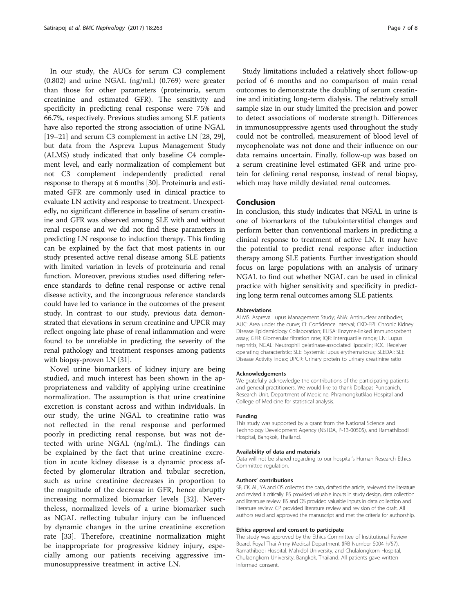In our study, the AUCs for serum C3 complement (0.802) and urine NGAL (ng/mL) (0.769) were greater than those for other parameters (proteinuria, serum creatinine and estimated GFR). The sensitivity and specificity in predicting renal response were 75% and 66.7%, respectively. Previous studies among SLE patients have also reported the strong association of urine NGAL [[19](#page-7-0)–[21\]](#page-7-0) and serum C3 complement in active LN [[28](#page-7-0), [29](#page-7-0)], but data from the Aspreva Lupus Management Study (ALMS) study indicated that only baseline C4 complement level, and early normalization of complement but not C3 complement independently predicted renal response to therapy at 6 months [\[30\]](#page-7-0). Proteinuria and estimated GFR are commonly used in clinical practice to evaluate LN activity and response to treatment. Unexpectedly, no significant difference in baseline of serum creatinine and GFR was observed among SLE with and without renal response and we did not find these parameters in predicting LN response to induction therapy. This finding can be explained by the fact that most patients in our study presented active renal disease among SLE patients with limited variation in levels of proteinuria and renal function. Moreover, previous studies used differing reference standards to define renal response or active renal disease activity, and the incongruous reference standards could have led to variance in the outcomes of the present study. In contrast to our study, previous data demonstrated that elevations in serum creatinine and UPCR may reflect ongoing late phase of renal inflammation and were found to be unreliable in predicting the severity of the renal pathology and treatment responses among patients with biopsy-proven LN [\[31\]](#page-7-0).

Novel urine biomarkers of kidney injury are being studied, and much interest has been shown in the appropriateness and validity of applying urine creatinine normalization. The assumption is that urine creatinine excretion is constant across and within individuals. In our study, the urine NGAL to creatinine ratio was not reflected in the renal response and performed poorly in predicting renal response, but was not detected with urine NGAL (ng/mL). The findings can be explained by the fact that urine creatinine excretion in acute kidney disease is a dynamic process affected by glomerular iltration and tubular secretion, such as urine creatinine decreases in proportion to the magnitude of the decrease in GFR, hence abruptly increasing normalized biomarker levels [\[32](#page-7-0)]. Nevertheless, normalized levels of a urine biomarker such as NGAL reflecting tubular injury can be influenced by dynamic changes in the urine creatinine excretion rate [\[33](#page-7-0)]. Therefore, creatinine normalization might be inappropriate for progressive kidney injury, especially among our patients receiving aggressive immunosuppressive treatment in active LN.

Study limitations included a relatively short follow-up period of 6 months and no comparison of main renal outcomes to demonstrate the doubling of serum creatinine and initiating long-term dialysis. The relatively small sample size in our study limited the precision and power to detect associations of moderate strength. Differences in immunosuppressive agents used throughout the study could not be controlled, measurement of blood level of mycophenolate was not done and their influence on our data remains uncertain. Finally, follow-up was based on a serum creatinine level estimated GFR and urine protein for defining renal response, instead of renal biopsy, which may have mildly deviated renal outcomes.

# Conclusion

In conclusion, this study indicates that NGAL in urine is one of biomarkers of the tubulointerstitial changes and perform better than conventional markers in predicting a clinical response to treatment of active LN. It may have the potential to predict renal response after induction therapy among SLE patients. Further investigation should focus on large populations with an analysis of urinary NGAL to find out whether NGAL can be used in clinical practice with higher sensitivity and specificity in predicting long term renal outcomes among SLE patients.

#### Abbreviations

ALMS: Aspreva Lupus Management Study; ANA: Antinuclear antibodies; AUC: Area under the curve; CI: Confidence interval; CKD-EPI: Chronic Kidney Disease Epidemiology Collaboration; ELISA: Enzyme-linked immunosorbent assay; GFR: Glomerular filtration rate; IQR: Interquartile range; LN: Lupus nephritis; NGAL: Neutrophil gelatinase-associated lipocalin; ROC: Receiver operating characteristic; SLE: Systemic lupus erythematosus; SLEDAI: SLE Disease Activity Index; UPCR: Urinary protein to urinary creatinine ratio

#### Acknowledgements

We gratefully acknowledge the contributions of the participating patients and general practitioners. We would like to thank Dollapas Punpanich, Research Unit, Department of Medicine, Phramongkutklao Hospital and College of Medicine for statistical analysis.

#### Funding

This study was supported by a grant from the National Science and Technology Development Agency (NSTDA, P-13-00505), and Ramathibodi Hospital, Bangkok, Thailand.

#### Availability of data and materials

Data will not be shared regarding to our hospital's Human Research Ethics Committee regulation.

#### Authors' contributions

SB, CK, AL, YA and OS collected the data, drafted the article, reviewed the literature and revised it critically. BS provided valuable inputs in study design, data collection and literature review. BS and OS provided valuable inputs in data collection and literature review. CP provided literature review and revision of the draft. All authors read and approved the manuscript and met the criteria for authorship.

#### Ethics approval and consent to participate

The study was approved by the Ethics Committee of Institutional Review Board. Royal Thai Army Medical Department (IRB Number S004 h/57), Ramathibodi Hospital, Mahidol University, and Chulalongkorn Hospital, Chulaongkorn University, Bangkok, Thailand. All patients gave written informed consent.